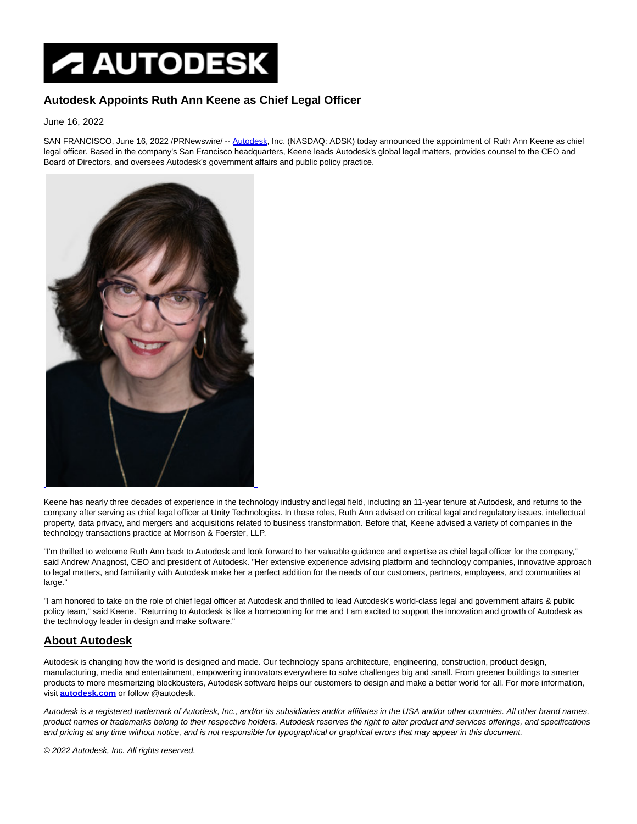## **AUTODESK**

## **Autodesk Appoints Ruth Ann Keene as Chief Legal Officer**

June 16, 2022

SAN FRANCISCO, June 16, 2022 /PRNewswire/ -- [Autodesk,](https://c212.net/c/link/?t=0&l=en&o=3569114-1&h=3723256275&u=http%3A%2F%2Fwww.autodesk.com%2Fpr-autodesk&a=Autodesk) Inc. (NASDAQ: ADSK) today announced the appointment of Ruth Ann Keene as chief legal officer. Based in the company's San Francisco headquarters, Keene leads Autodesk's global legal matters, provides counsel to the CEO and Board of Directors, and oversees Autodesk's government affairs and public policy practice.



Keene has nearly three decades of experience in the technology industry and legal field, including an 11-year tenure at Autodesk, and returns to the company after serving as chief legal officer at Unity Technologies. In these roles, Ruth Ann advised on critical legal and regulatory issues, intellectual property, data privacy, and mergers and acquisitions related to business transformation. Before that, Keene advised a variety of companies in the technology transactions practice at Morrison & Foerster, LLP.

"I'm thrilled to welcome Ruth Ann back to Autodesk and look forward to her valuable guidance and expertise as chief legal officer for the company," said Andrew Anagnost, CEO and president of Autodesk. "Her extensive experience advising platform and technology companies, innovative approach to legal matters, and familiarity with Autodesk make her a perfect addition for the needs of our customers, partners, employees, and communities at large."

"I am honored to take on the role of chief legal officer at Autodesk and thrilled to lead Autodesk's world-class legal and government affairs & public policy team," said Keene. "Returning to Autodesk is like a homecoming for me and I am excited to support the innovation and growth of Autodesk as the technology leader in design and make software."

## **About Autodesk**

Autodesk is changing how the world is designed and made. Our technology spans architecture, engineering, construction, product design, manufacturing, media and entertainment, empowering innovators everywhere to solve challenges big and small. From greener buildings to smarter products to more mesmerizing blockbusters, Autodesk software helps our customers to design and make a better world for all. For more information, visit **[autodesk.com](https://c212.net/c/link/?t=0&l=en&o=3569114-1&h=2328034628&u=https%3A%2F%2Fc212.net%2Fc%2Flink%2F%3Ft%3D0%26l%3Den%26o%3D3368552-1%26h%3D2274083701%26u%3Dhttp%253A%252F%252Fcts.businesswire.com%252Fct%252FCT%253Fid%253Dsmartlink%2526url%253Dhttp%25253A%25252F%25252Fautodesk.com%25252F%2526esheet%253D51321819%2526newsitemid%253D20160418005351%2526lan%253Den-US%2526anchor%253Dautodesk.com%2526index%253D2%2526md5%253D5b2587800ba3e7556c2122e057b08cba%26a%3Dautodesk.com&a=autodesk.com)** or follow @autodesk.

Autodesk is a registered trademark of Autodesk, Inc., and/or its subsidiaries and/or affiliates in the USA and/or other countries. All other brand names, product names or trademarks belong to their respective holders. Autodesk reserves the right to alter product and services offerings, and specifications and pricing at any time without notice, and is not responsible for typographical or graphical errors that may appear in this document.

© 2022 Autodesk, Inc. All rights reserved.